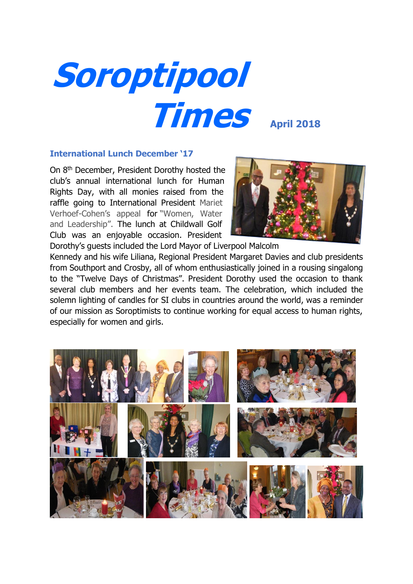

#### **International Lunch December '17**

On 8th December, President Dorothy hosted the club's annual international lunch for Human Rights Day, with all monies raised from the raffle going to International President Mariet Verhoef-Cohen's appeal for "Women, Water and Leadership". The lunch at Childwall Golf Club was an enjoyable occasion. President



Dorothy's guests included the Lord Mayor of Liverpool Malcolm Kennedy and his wife Liliana, Regional President Margaret Davies and club presidents from Southport and Crosby, all of whom enthusiastically joined in a rousing singalong to the "Twelve Days of Christmas". President Dorothy used the occasion to thank several club members and her events team. The celebration, which included the solemn lighting of candles for SI clubs in countries around the world, was a reminder of our mission as Soroptimists to continue working for equal access to human rights, especially for women and girls.

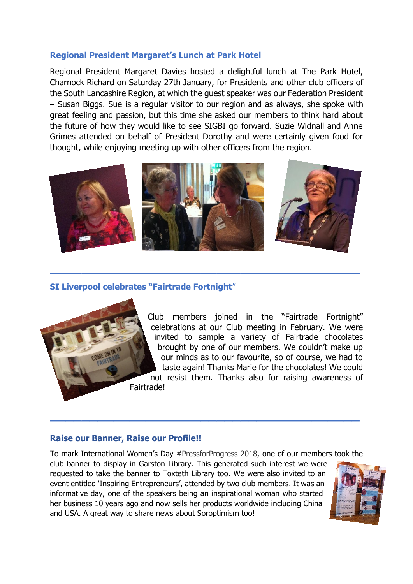# **Regional President Margaret's Lunch at Park Hotel**

Regional President Margaret Davies hosted a delightful lunch at The Park Hotel, Charnock Richard on Saturday 27th January, for Presidents and other club officers of the South Lancashire Region, at which the guest speaker was our Federation President – Susan Biggs. Sue is a regular visitor to our region and as always, she spoke with great feeling and passion, but this time she asked our members to think hard about the future of how they would like to see SIGBI go forward. Suzie Widnall and Anne Grimes attended on behalf of President Dorothy and were certainly given food for thought, while enjoying meeting up with other officers from the region.



**\_\_\_\_\_\_\_\_\_\_\_\_\_\_\_\_\_\_\_\_\_\_\_\_\_\_\_\_\_\_\_\_\_\_\_\_\_\_\_**

# **SI Liverpool celebrates "Fairtrade Fortnight**"



Club members joined in the "Fairtrade Fortnight" celebrations at our Club meeting in February. We were invited to sample a variety of Fairtrade chocolates brought by one of our members. We couldn't make up our minds as to our favourite, so of course, we had to taste again! Thanks Marie for the chocolates! We could not resist them. Thanks also for raising awareness of

# **Raise our Banner, Raise our Profile!!**

To mark International Women's Day #PressforProgress 2018, one of our members took the

**\_\_\_\_\_\_\_\_\_\_\_\_\_\_\_\_\_\_\_\_\_\_\_\_\_\_\_\_\_\_\_\_\_\_\_\_\_\_\_**

club banner to display in Garston Library. This generated such interest we were requested to take the banner to Toxteth Library too. We were also invited to an event entitled 'Inspiring Entrepreneurs', attended by two club members. It was an informative day, one of the speakers being an inspirational woman who started her business 10 years ago and now sells her products worldwide including China and USA. A great way to share news about Soroptimism too!

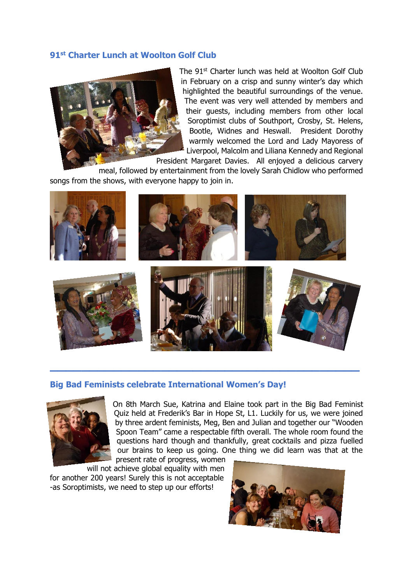# **91st Charter Lunch at Woolton Golf Club**



The 91<sup>st</sup> Charter lunch was held at Woolton Golf Club in February on a crisp and sunny winter's day which highlighted the beautiful surroundings of the venue. The event was very well attended by members and their guests, including members from other local Soroptimist clubs of Southport, Crosby, St. Helens, Bootle, Widnes and Heswall. President Dorothy warmly welcomed the Lord and Lady Mayoress of Liverpool, Malcolm and Liliana Kennedy and Regional

President Margaret Davies. All enjoyed a delicious carvery

meal, followed by entertainment from the lovely Sarah Chidlow who performed songs from the shows, with everyone happy to join in.



#### **Big Bad Feminists celebrate International Women's Day!**



On 8th March Sue, Katrina and Elaine took part in the Big Bad Feminist Quiz held at Frederik's Bar in Hope St, L1. Luckily for us, we were joined by three ardent feminists, Meg, Ben and Julian and together our "Wooden Spoon Team" came a respectable fifth overall. The whole room found the questions hard though and thankfully, great cocktails and pizza fuelled our brains to keep us going. One thing we did learn was that at the present rate of progress, women

will not achieve global equality with men for another 200 years! Surely this is not acceptable -as Soroptimists, we need to step up our efforts!

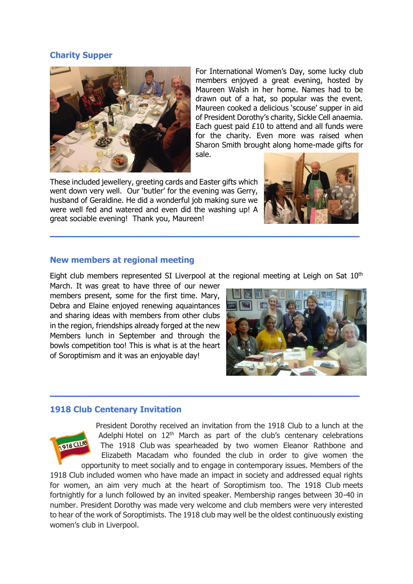# **Charity Supper**



For International Women's Day, some lucky club members enjoyed a great evening, hosted by Maureen Walsh in her home. Names had to be drawn out of a hat, so popular was the event. Maureen cooked a delicious 'scouse' supper in aid of President Dorothy's charity, Sickle Cell anaemia. Each guest paid £10 to attend and all funds were for the charity. Even more was raised when Sharon Smith brought along home-made gifts for sale.

These included jewellery, greeting cards and Easter gifts which went down very well. Our 'butler' for the evening was Gerry, husband of Geraldine. He did a wonderful job making sure we were well fed and watered and even did the washing up! A great sociable evening! Thank you, Maureen!



#### **New members at regional meeting**

Eight club members represented SI Liverpool at the regional meeting at Leigh on Sat  $10<sup>th</sup>$ 

**\_\_\_\_\_\_\_\_\_\_\_\_\_\_\_\_\_\_\_\_\_\_\_\_\_\_\_\_\_\_\_\_\_\_\_\_\_\_\_**

March. It was great to have three of our newer members present, some for the first time. Mary, Debra and Elaine enjoyed renewing aquaintances and sharing ideas with members from other clubs in the region, friendships already forged at the new Members lunch in September and through the bowls competition too! This is what is at the heart of Soroptimism and it was an enjoyable day!



# **1918 Club Centenary Invitation**



President Dorothy received an invitation from the 1918 Club to a lunch at the Adelphi Hotel on 12<sup>th</sup> March as part of the club's centenary celebrations The 1918 Club was spearheaded by two women Eleanor Rathbone and Elizabeth Macadam who founded the club in order to give women the opportunity to meet socially and to engage in contemporary issues. Members of the 1918 Club included women who have made an impact in society and addressed equal rights for women, an aim very much at the heart of Soroptimism too. The 1918 Club meets fortnightly for a lunch followed by an invited speaker. Membership ranges between 30-40 in number. President Dorothy was made very welcome and club members were very interested

to hear of the work of Soroptimists. The 1918 club may well be the oldest continuously existing women's club in Liverpool.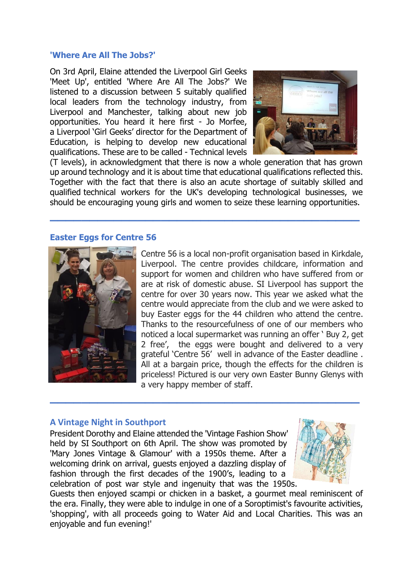#### **'Where Are All The Jobs?'**

On 3rd April, Elaine attended the Liverpool Girl Geeks 'Meet Up', entitled 'Where Are All The Jobs?' We listened to a discussion between 5 suitably qualified local leaders from the technology industry, from Liverpool and Manchester, talking about new job opportunities. You heard it here first - Jo Morfee, a Liverpool 'Girl Geeks' director for the Department of Education, is helping to develop new educational qualifications. These are to be called - Technical levels



(T levels), in acknowledgment that there is now a whole generation that has grown up around technology and it is about time that educational qualifications reflected this. Together with the fact that there is also an acute shortage of suitably skilled and qualified technical workers for the UK's developing technological businesses, we should be encouraging young girls and women to seize these learning opportunities.

**\_\_\_\_\_\_\_\_\_\_\_\_\_\_\_\_\_\_\_\_\_\_\_\_\_\_\_\_\_\_\_\_\_\_\_\_\_\_\_**

#### **Easter Eggs for Centre 56**



Centre 56 is a local non-profit organisation based in Kirkdale, Liverpool. The centre provides childcare, information and support for women and children who have suffered from or are at risk of domestic abuse. SI Liverpool has support the centre for over 30 years now. This year we asked what the centre would appreciate from the club and we were asked to buy Easter eggs for the 44 children who attend the centre. Thanks to the resourcefulness of one of our members who noticed a local supermarket was running an offer ' Buy 2, get 2 free', the eggs were bought and delivered to a very grateful 'Centre 56' well in advance of the Easter deadline . All at a bargain price, though the effects for the children is priceless! Pictured is our very own Easter Bunny Glenys with a very happy member of staff.

# **A Vintage Night in Southport**

President Dorothy and Elaine attended the 'Vintage Fashion Show' held by SI Southport on 6th April. The show was promoted by 'Mary Jones Vintage & Glamour' with a 1950s theme. After a welcoming drink on arrival, guests enjoyed a dazzling display of fashion through the first decades of the 1900's, leading to a celebration of post war style and ingenuity that was the 1950s.



Guests then enjoyed scampi or chicken in a basket, a gourmet meal reminiscent of the era. Finally, they were able to indulge in one of a Soroptimist's favourite activities, 'shopping', with all proceeds going to Water Aid and Local Charities. This was an enjoyable and fun evening!'

**\_\_\_\_\_\_\_\_\_\_\_\_\_\_\_\_\_\_\_\_\_\_\_\_\_\_\_\_\_\_\_\_\_\_\_\_\_\_\_**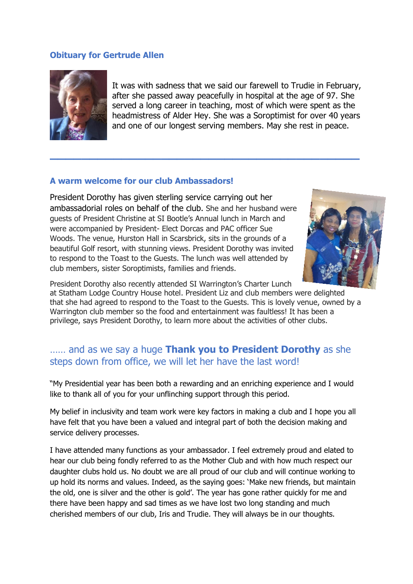## **Obituary for Gertrude Allen**



It was with sadness that we said our farewell to Trudie in February, after she passed away peacefully in hospital at the age of 97. She served a long career in teaching, most of which were spent as the headmistress of Alder Hey. She was a Soroptimist for over 40 years and one of our longest serving members. May she rest in peace.

# **A warm welcome for our club Ambassadors!**

President Dorothy has given sterling service carrying out her ambassadorial roles on behalf of the club. She and her husband were guests of President Christine at SI Bootle's Annual lunch in March and were accompanied by President- Elect Dorcas and PAC officer Sue Woods. The venue, Hurston Hall in Scarsbrick, sits in the grounds of a beautiful Golf resort, with stunning views. President Dorothy was invited to respond to the Toast to the Guests. The lunch was well attended by club members, sister Soroptimists, families and friends.



President Dorothy also recently attended SI Warrington's Charter Lunch

at Statham Lodge Country House hotel. President Liz and club members were delighted that she had agreed to respond to the Toast to the Guests. This is lovely venue, owned by a Warrington club member so the food and entertainment was faultless! It has been a privilege, says President Dorothy, to learn more about the activities of other clubs.

**\_\_\_\_\_\_\_\_\_\_\_\_\_\_\_\_\_\_\_\_\_\_\_\_\_\_\_\_\_\_\_\_\_\_\_\_\_\_\_**

# …… and as we say a huge **Thank you to President Dorothy** as she steps down from office, we will let her have the last word!

"My Presidential year has been both a rewarding and an enriching experience and I would like to thank all of you for your unflinching support through this period.

My belief in inclusivity and team work were key factors in making a club and I hope you all have felt that you have been a valued and integral part of both the decision making and service delivery processes.

I have attended many functions as your ambassador. I feel extremely proud and elated to hear our club being fondly referred to as the Mother Club and with how much respect our daughter clubs hold us. No doubt we are all proud of our club and will continue working to up hold its norms and values. Indeed, as the saying goes: 'Make new friends, but maintain the old, one is silver and the other is gold'. The year has gone rather quickly for me and there have been happy and sad times as we have lost two long standing and much cherished members of our club, Iris and Trudie. They will always be in our thoughts.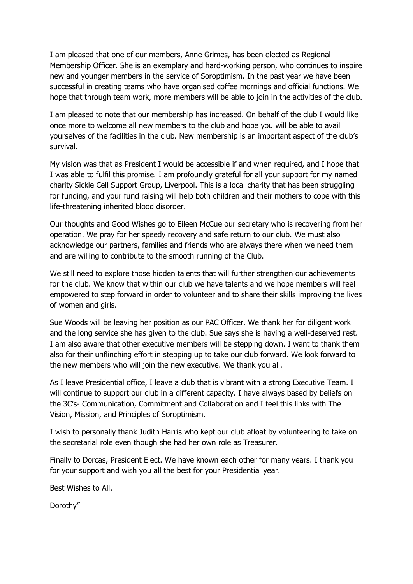I am pleased that one of our members, Anne Grimes, has been elected as Regional Membership Officer. She is an exemplary and hard-working person, who continues to inspire new and younger members in the service of Soroptimism. In the past year we have been successful in creating teams who have organised coffee mornings and official functions. We hope that through team work, more members will be able to join in the activities of the club.

I am pleased to note that our membership has increased. On behalf of the club I would like once more to welcome all new members to the club and hope you will be able to avail yourselves of the facilities in the club. New membership is an important aspect of the club's survival.

My vision was that as President I would be accessible if and when required, and I hope that I was able to fulfil this promise. I am profoundly grateful for all your support for my named charity Sickle Cell Support Group, Liverpool. This is a local charity that has been struggling for funding, and your fund raising will help both children and their mothers to cope with this life-threatening inherited blood disorder.

Our thoughts and Good Wishes go to Eileen McCue our secretary who is recovering from her operation. We pray for her speedy recovery and safe return to our club. We must also acknowledge our partners, families and friends who are always there when we need them and are willing to contribute to the smooth running of the Club.

We still need to explore those hidden talents that will further strengthen our achievements for the club. We know that within our club we have talents and we hope members will feel empowered to step forward in order to volunteer and to share their skills improving the lives of women and girls.

Sue Woods will be leaving her position as our PAC Officer. We thank her for diligent work and the long service she has given to the club. Sue says she is having a well-deserved rest. I am also aware that other executive members will be stepping down. I want to thank them also for their unflinching effort in stepping up to take our club forward. We look forward to the new members who will join the new executive. We thank you all.

As I leave Presidential office, I leave a club that is vibrant with a strong Executive Team. I will continue to support our club in a different capacity. I have always based by beliefs on the 3C's- Communication, Commitment and Collaboration and I feel this links with The Vision, Mission, and Principles of Soroptimism.

I wish to personally thank Judith Harris who kept our club afloat by volunteering to take on the secretarial role even though she had her own role as Treasurer.

Finally to Dorcas, President Elect. We have known each other for many years. I thank you for your support and wish you all the best for your Presidential year.

Best Wishes to All.

Dorothy"